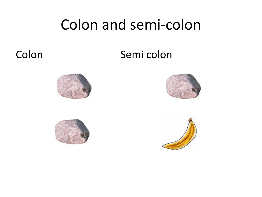### Colon and semi-colon

#### Colon Semi colon







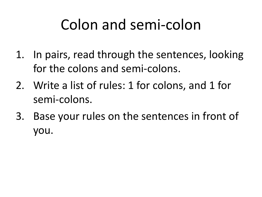### Colon and semi-colon

- 1. In pairs, read through the sentences, looking for the colons and semi-colons.
- 2. Write a list of rules: 1 for colons, and 1 for semi-colons.
- 3. Base your rules on the sentences in front of you.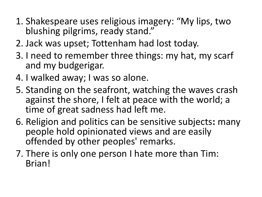- 1. Shakespeare uses religious imagery: "My lips, two blushing pilgrims, ready stand."
- 2. Jack was upset; Tottenham had lost today.
- 3. I need to remember three things: my hat, my scarf and my budgerigar.
- 4. I walked away; I was so alone.
- 5. Standing on the seafront, watching the waves crash against the shore, I felt at peace with the world; a time of great sadness had left me.
- 6. Religion and politics can be sensitive subjects**:** many people hold opinionated views and are easily offended by other peoples' remarks.
- 7. There is only one person I hate more than Tim: Brian!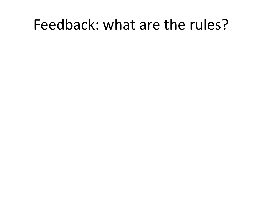#### Feedback: what are the rules?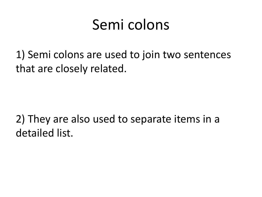#### Semi colons

1) Semi colons are used to join two sentences that are closely related.

2) They are also used to separate items in a detailed list.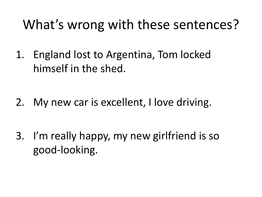#### What's wrong with these sentences?

1. England lost to Argentina, Tom locked himself in the shed.

2. My new car is excellent, I love driving.

3. I'm really happy, my new girlfriend is so good-looking.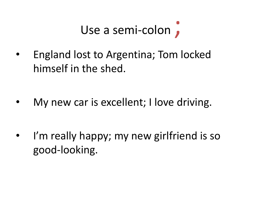## Use a semi-colon,

• England lost to Argentina; Tom locked himself in the shed.

My new car is excellent; I love driving.

I'm really happy; my new girlfriend is so good-looking.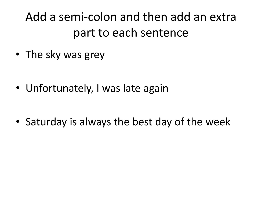Add a semi-colon and then add an extra part to each sentence

• The sky was grey

• Unfortunately, I was late again

• Saturday is always the best day of the week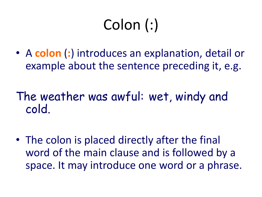# Colon (:)

- A **colon** (**:**) introduces an explanation, detail or example about the sentence preceding it, e.g.
- The weather was awful: wet, windy and cold.
- The colon is placed directly after the final word of the main clause and is followed by a space. It may introduce one word or a phrase.